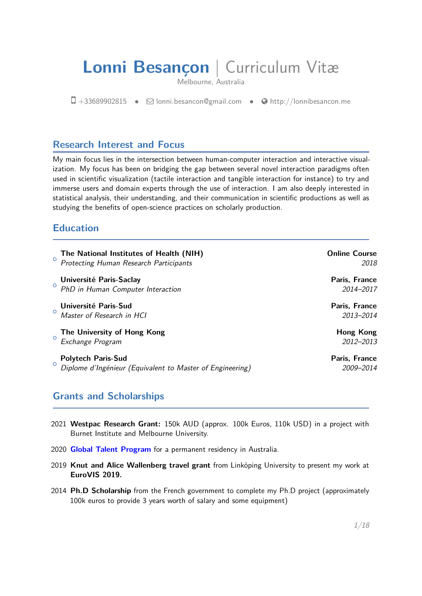# **Lonni Besançon** | Curriculum Vitæ

Melbourne, Australia

 $\Box$  +33689902815 •  $\Box$  [lonni.besancon@gmail.com](mailto:lonni.besancon@gmail.com) •  $\Theta$  [http://lonnibesancon.me](http://http://lonnibesancon.me)

# **Research Interest and Focus**

My main focus lies in the intersection between human-computer interaction and interactive visualization. My focus has been on bridging the gap between several novel interaction paradigms often used in scientific visualization (tactile interaction and tangible interaction for instance) to try and immerse users and domain experts through the use of interaction. I am also deeply interested in statistical analysis, their understanding, and their communication in scientific productions as well as studying the benefits of open-science practices on scholarly production.

# **Education**

| $\circ$ | The National Institutes of Health (NIH)<br>Protecting Human Research Participants      | <b>Online Course</b><br>2018 |
|---------|----------------------------------------------------------------------------------------|------------------------------|
| $\circ$ | Université Paris-Saclay<br>PhD in Human Computer Interaction                           | Paris, France<br>2014-2017   |
| $\circ$ | Université Paris-Sud<br>Master of Research in HCI                                      | Paris, France<br>2013-2014   |
|         | The University of Hong Kong<br>Exchange Program                                        | Hong Kong<br>2012-2013       |
| $\circ$ | <b>Polytech Paris-Sud</b><br>Diplome d'Ingénieur (Equivalent to Master of Engineering) | Paris, France<br>2009-2014   |

# **Grants and Scholarships**

- 2021 **Westpac Research Grant:** 150k AUD (approx. 100k Euros, 110k USD) in a project with Burnet Institute and Melbourne University.
- 2020 **[Global Talent Program](https://immi.homeaffairs.gov.au/visas/getting-a-visa/visa-listing/distinguished-talent-124)** for a permanent residency in Australia.
- 2019 **Knut and Alice Wallenberg travel grant** from Linköping University to present my work at **EuroVIS 2019.**
- 2014 **Ph.D Scholarship** from the French government to complete my Ph.D project (approximately 100k euros to provide 3 years worth of salary and some equipment)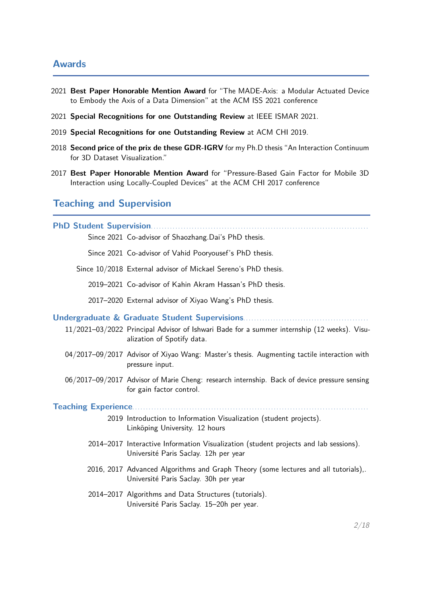## **Awards**

- 2021 **Best Paper Honorable Mention Award** for "The MADE-Axis: a Modular Actuated Device to Embody the Axis of a Data Dimension" at the ACM ISS 2021 conference
- 2021 **Special Recognitions for one Outstanding Review** at IEEE ISMAR 2021.
- 2019 **Special Recognitions for one Outstanding Review** at ACM CHI 2019.
- 2018 **Second price of the prix de these GDR-IGRV** for my Ph.D thesis "An Interaction Continuum for 3D Dataset Visualization."
- 2017 **Best Paper Honorable Mention Award** for "Pressure-Based Gain Factor for Mobile 3D Interaction using Locally-Coupled Devices" at the ACM CHI 2017 conference

# **Teaching and Supervision**

| Since 2021 Co-advisor of Shaozhang.Dai's PhD thesis. |  |
|------------------------------------------------------|--|

Since 2021 Co-advisor of Vahid Pooryousef's PhD thesis.

Since 10/2018 External advisor of Mickael Sereno's PhD thesis.

2019–2021. Co-advisor of Kahin Akram Hassan's PhD thesis.

2017–2020 External advisor of Xiyao Wang's PhD thesis.

#### **Undergraduate & Graduate Student Supervisions**. . . . . . . . . . . . . . . . . . . . . . . . . . . . . . . . . . . . . . . . . . . . . .

- 11/2021–03/2022 Principal Advisor of Ishwari Bade for a summer internship (12 weeks). Visualization of Spotify data.
- 04/2017–09/2017 Advisor of Xiyao Wang: Master's thesis. Augmenting tactile interaction with pressure input.
- 06/2017–09/2017 Advisor of Marie Cheng: research internship. Back of device pressure sensing for gain factor control.

**Teaching Experience..........** 

- 2019 Introduction to Information Visualization (student projects). Linköping University. 12 hours
- 2014–2017 Interactive Information Visualization (student projects and lab sessions). Université Paris Saclay. 12h per year
- 2016, 2017 Advanced Algorithms and Graph Theory (some lectures and all tutorials),. Université Paris Saclay. 30h per year
- 2014–2017 Algorithms and Data Structures (tutorials). Université Paris Saclay. 15–20h per year.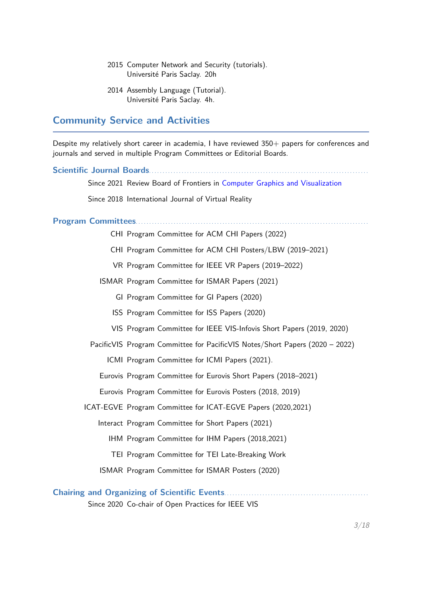- 2015 Computer Network and Security (tutorials). Université Paris Saclay. 20h
- 2014 Assembly Language (Tutorial). Université Paris Saclay. 4h.

## **Community Service and Activities**

Despite my relatively short career in academia, I have reviewed 350+ papers for conferences and journals and served in multiple Program Committees or Editorial Boards.

Scientific Journal Boards. . . . . . . . . . . Since 2021 Review Board of Frontiers in [Computer Graphics and Visualization](https://www.frontiersin.org/journals/computer-science/sections/computer-graphics-and-visualization#editorial-board) Since 2018 International Journal of Virtual Reality **Program Committees**. . . . . . . . . . . . . . . . . . . . . . . . . . . . . . . . . . . . . . . . . . . . . . . . . . . . . . . . . . . . . . . . . . . . . . . . . . . . . . . . . . . . . . CHI Program Committee for ACM CHI Papers (2022) CHI Program Committee for ACM CHI Posters/LBW (2019–2021) VR Program Committee for IEEE VR Papers (2019–2022) ISMAR Program Committee for ISMAR Papers (2021) GI Program Committee for GI Papers (2020) ISS Program Committee for ISS Papers (2020) VIS Program Committee for IEEE VIS-Infovis Short Papers (2019, 2020) PacificVIS Program Committee for PacificVIS Notes/Short Papers (2020 – 2022) ICMI Program Committee for ICMI Papers (2021). Eurovis Program Committee for Eurovis Short Papers (2018–2021) Eurovis Program Committee for Eurovis Posters (2018, 2019) ICAT-EGVE Program Committee for ICAT-EGVE Papers (2020,2021) Interact Program Committee for Short Papers (2021) IHM Program Committee for IHM Papers (2018,2021) TEI Program Committee for TEI Late-Breaking Work ISMAR Program Committee for ISMAR Posters (2020) **Chairing and Organizing of Scientific Events**. . . . . . . . . . . . . . . . . . . . . . . . . . . . . . . . . . . . . . . . . . . . . . . . . . . . .

Since 2020 Co-chair of Open Practices for IEEE VIS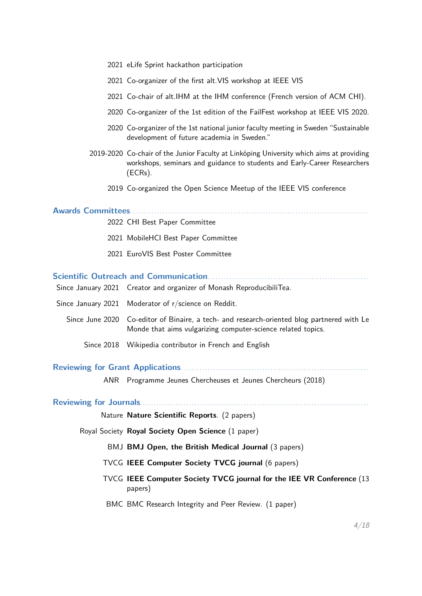- 2021 eLife Sprint hackathon participation
- 2021 Co-organizer of the first alt.VIS workshop at IEEE VIS
- 2021 Co-chair of alt.IHM at the IHM conference (French version of ACM CHI).
- 2020 Co-organizer of the 1st edition of the FailFest workshop at IEEE VIS 2020.
- 2020 Co-organizer of the 1st national junior faculty meeting in Sweden "Sustainable development of future academia in Sweden."
- 2019-2020 Co-chair of the Junior Faculty at Linköping University which aims at providing workshops, seminars and guidance to students and Early-Career Researchers (ECRs).
	- 2019 Co-organized the Open Science Meetup of the IEEE VIS conference

## **Awards Committees**. . . . . . . . . . . . . . . . . . . . . . . . . . . . . . . . . . . . . . . . . . . . . . . . . . . . . . . . . . . . . . . . . . . . . . . . . . . . . . . . . . . . . . . .

- 2022 CHI Best Paper Committee
- 2021 MobileHCI Best Paper Committee
- 2021 EuroVIS Best Poster Committee

## **Scientific Outreach and Communication**. . . . . . . . . . . . . . . . . . . . . . . . . . . . . . . . . . . . . . . . . . . . . . . . . . . . . . . . . . .

| Since January 2021 Creator and organizer of Monash ReproducibiliTea.                                                                                       |
|------------------------------------------------------------------------------------------------------------------------------------------------------------|
| Since January 2021 Moderator of r/science on Reddit.                                                                                                       |
| Since June 2020 Co-editor of Binaire, a tech- and research-oriented blog partnered with Le<br>Monde that aims vulgarizing computer-science related topics. |
| Since 2018 Wikipedia contributor in French and English                                                                                                     |
|                                                                                                                                                            |

## **Reviewing for Grant Applications**. . . . . . . . . . . . . . . . . . . . . . . . . . . . . . . . . . . . . . . . . . . . . . . . . . . . . . . . . . . . . . . . . . . . .

ANR Programme Jeunes Chercheuses et Jeunes Chercheurs (2018)

## **Reviewing for Journals**. . . . . . . . . . . . . . . . . . . . . . . . . . . . . . . . . . . . . . . . . . . . . . . . . . . . . . . . . . . . . . . . . . . . . . . . . . . . . . . . . . . .

Nature **Nature Scientific Reports**. (2 papers)

Royal Society **Royal Society Open Science** (1 paper)

BMJ **BMJ Open, the British Medical Journal** (3 papers)

- TVCG **IEEE Computer Society TVCG journal** (6 papers)
- TVCG **IEEE Computer Society TVCG journal for the IEE VR Conference** (13 papers)
- BMC BMC Research Integrity and Peer Review. (1 paper)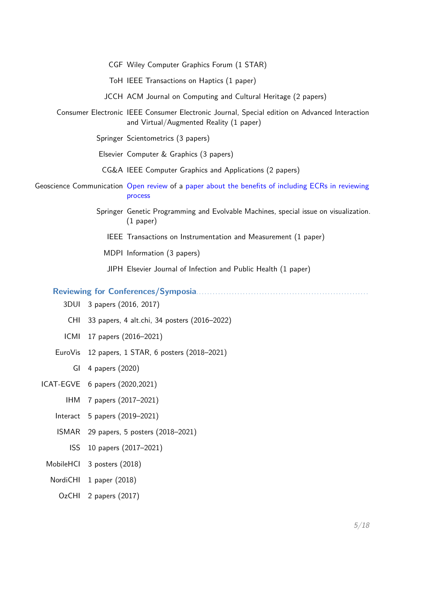| CGF Wiley Computer Graphics Forum (1 STAR)                                                                                               |
|------------------------------------------------------------------------------------------------------------------------------------------|
| ToH IEEE Transactions on Haptics (1 paper)                                                                                               |
| JCCH ACM Journal on Computing and Cultural Heritage (2 papers)                                                                           |
| Consumer Electronic IEEE Consumer Electronic Journal, Special edition on Advanced Interaction<br>and Virtual/Augmented Reality (1 paper) |
| Springer Scientometrics (3 papers)                                                                                                       |
| Elsevier Computer & Graphics (3 papers)                                                                                                  |
| CG&A IEEE Computer Graphics and Applications (2 papers)                                                                                  |
| Geoscience Communication Open review of a paper about the benefits of including ECRs in reviewing<br>process                             |
| Springer Genetic Programming and Evolvable Machines, special issue on visualization.<br>$(1$ paper)                                      |
| IEEE Transactions on Instrumentation and Measurement (1 paper)                                                                           |
| MDPI Information (3 papers)                                                                                                              |
| JIPH Elsevier Journal of Infection and Public Health (1 paper)                                                                           |

**Reviewing for Conferences/Symposia**. . . . . . . . . . . . . . . . . . . . . . . . . . . . . . . . . . . . . . . . . . . . . . . . . . . . . . . . . . . . . . .

- 3DUI 3 papers (2016, 2017)
- CHI 33 papers, 4 alt.chi, 34 posters (2016–2022)
- ICMI 17 papers (2016–2021)
- EuroVis 12 papers, 1 STAR, 6 posters (2018–2021)
	- GI 4 papers (2020)
- ICAT-EGVE 6 papers (2020,2021)
	- IHM 7 papers (2017–2021)
	- Interact 5 papers (2019–2021)
	- ISMAR 29 papers, 5 posters (2018–2021)
		- ISS 10 papers (2017–2021)
	- MobileHCI 3 posters (2018)
	- NordiCHI 1 paper (2018)
		- OzCHI 2 papers (2017)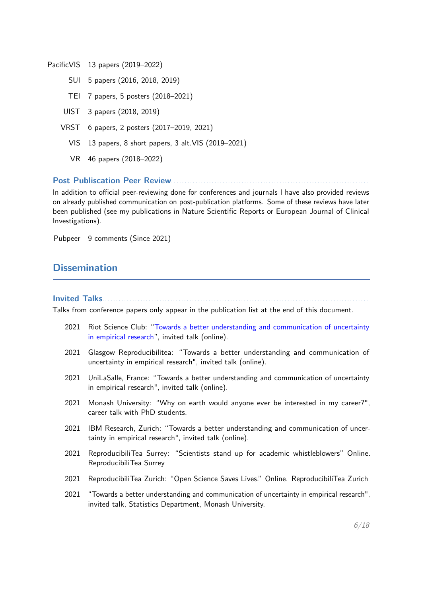PacificVIS 13 papers (2019–2022)

- SUI 5 papers (2016, 2018, 2019)
- TEI 7 papers, 5 posters (2018–2021)
- UIST 3 papers (2018, 2019)
- VRST 6 papers, 2 posters (2017–2019, 2021)
	- VIS 13 papers, 8 short papers, 3 alt.VIS (2019–2021)
	- VR 46 papers (2018–2022)

**Post Publiscation Peer Review**. . . . . . . . . . . . . . . . . . . . . . . . . . . . . . . . . . . . . . . . . . . . . . . . . . . . . . . . . . . . . . . . . . . . . . . . .

In addition to official peer-reviewing done for conferences and journals I have also provided reviews on already published communication on post-publication platforms. Some of these reviews have later been published (see my publications in Nature Scientific Reports or European Journal of Clinical Investigations).

Pubpeer 9 comments (Since 2021)

# **Dissemination**

**Invited Talks** 

Talks from conference papers only appear in the publication list at the end of this document.

- 2021 Riot Science Club: ["Towards a better understanding and communication of uncertainty](https://www.youtube.com/watch?v=i-x6QNVn-jU) [in empirical research"](https://www.youtube.com/watch?v=i-x6QNVn-jU), invited talk (online).
- 2021 Glasgow Reproducibilitea: "Towards a better understanding and communication of uncertainty in empirical research", invited talk (online).
- 2021 UniLaSalle, France: "Towards a better understanding and communication of uncertainty in empirical research", invited talk (online).
- 2021 Monash University: "Why on earth would anyone ever be interested in my career?", career talk with PhD students.
- 2021 IBM Research, Zurich: "Towards a better understanding and communication of uncertainty in empirical research", invited talk (online).
- 2021 ReproducibiliTea Surrey: "Scientists stand up for academic whistleblowers" Online. ReproducibiliTea Surrey
- 2021 ReproducibiliTea Zurich: "Open Science Saves Lives." Online. ReproducibiliTea Zurich
- 2021 "Towards a better understanding and communication of uncertainty in empirical research", invited talk, Statistics Department, Monash University.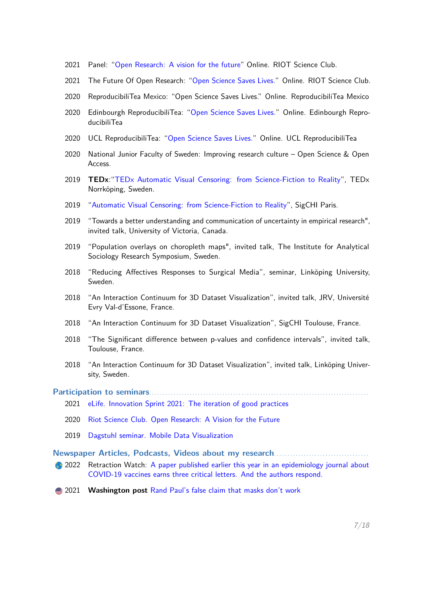- 2021 Panel: ["Open Research: A vision for the future"](https://www.youtube.com/watch?v=6p_qxHMKGDo) Online. RIOT Science Club.
- 2021 The Future Of Open Research: ["Open Science Saves Lives."](https://www.youtube.com/watch?v=puQTPDxWI9I) Online. RIOT Science Club.
- 2020 ReproducibiliTea Mexico: "Open Science Saves Lives." Online. ReproducibiliTea Mexico
- 2020 Edinbourgh ReproducibiliTea: ["Open Science Saves Lives."](https://www.youtube.com/watch?v=puQTPDxWI9I) Online. Edinbourgh ReproducibiliTea
- 2020 UCL ReproducibiliTea: ["Open Science Saves Lives."](https://www.eventbrite.co.uk/e/open-science-saves-lives-lessons-from-covid-19-with-dr-lonni-besancon-tickets-127845301739) Online. UCL ReproducibiliTea
- 2020 National Junior Faculty of Sweden: Improving research culture Open Science & Open Access.
- 2019 **TEDx**:["TEDx Automatic Visual Censoring: from Science-Fiction to Reality"](https://www.youtube.com/watch?v=pDHomZ8FEoU), TEDx Norrköping, Sweden.
- 2019 ["Automatic Visual Censoring: from Science-Fiction to Reality"](http://paris.sigchi.acm.org:88/homepage/home.php?n=Main.LonniBesan%E7on), SigCHI Paris.
- 2019 "Towards a better understanding and communication of uncertainty in empirical research", invited talk, University of Victoria, Canada.
- 2019 "Population overlays on choropleth maps", invited talk, The Institute for Analytical Sociology Research Symposium, Sweden.
- 2018 "Reducing Affectives Responses to Surgical Media", seminar, Linköping University, Sweden.
- 2018 "An Interaction Continuum for 3D Dataset Visualization", invited talk, JRV, Université Evry Val-d'Essone, France.
- 2018 "An Interaction Continuum for 3D Dataset Visualization", SigCHI Toulouse, France.
- 2018 "The Significant difference between p-values and confidence intervals", invited talk, Toulouse, France.
- 2018 "An Interaction Continuum for 3D Dataset Visualization", invited talk, Linköping University, Sweden.

#### Participation to seminars....

- 2021 [eLife. Innovation Sprint 2021: The iteration of good practices](https://elifesciences.org/labs/114f4e37/innovation-sprint-2021-the-iteration-of-good-practices)
- 2020 [Riot Science Club. Open Research: A Vision for the Future](http://riotscience.co.uk/about-the-speakers/)
- 2019 [Dagstuhl seminar. Mobile Data Visualization](https://www.dagstuhl.de/en/program/calendar/semhp/?semnr=19292)

Newspaper Articles, Podcasts, Videos about my research...........

- 2022 Retraction Watch: [A paper published earlier this year in an epidemiology journal about](https://retractionwatch.com/2021/12/31/weekend-reads-a-russian-paper-mill-under-an-x-ray-ai-and-doctored-images-covid-19-vaccine-paper-earns-scrutiny/) [COVID-19 vaccines earns three critical letters. And the authors respond.](https://retractionwatch.com/2021/12/31/weekend-reads-a-russian-paper-mill-under-an-x-ray-ai-and-doctored-images-covid-19-vaccine-paper-earns-scrutiny/)
- 2021 **Washington post** [Rand Paul's false claim that masks don't work](https://www.washingtonpost.com/politics/2021/12/02/rand-pauls-false-claim-that-masks-dont-work/)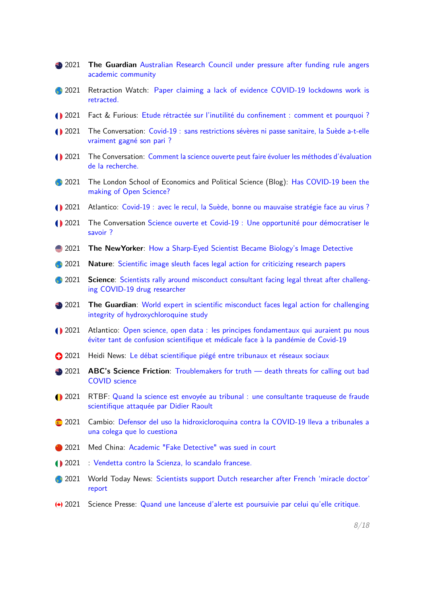| ● 2021            | The Guardian Australian Research Council under pressure after funding rule angers<br>academic community                                                                  |
|-------------------|--------------------------------------------------------------------------------------------------------------------------------------------------------------------------|
| 2021              | Retraction Watch: Paper claiming a lack of evidence COVID-19 lockdowns work is<br>retracted.                                                                             |
| $\bigodot$ 2021   | Fact & Furious: Etude rétractée sur l'inutilité du confinement : comment et pourquoi ?                                                                                   |
| $\bigodot$ 2021   | The Conversation: Covid-19 : sans restrictions sévères ni passe sanitaire, la Suède a-t-elle<br>vraiment gagné son pari ?                                                |
| 1 2021            | The Conversation: Comment la science ouverte peut faire évoluer les méthodes d'évaluation<br>de la recherche.                                                            |
| 2021              | The London School of Economics and Political Science (Blog): Has COVID-19 been the<br>making of Open Science?                                                            |
| $\bigodot$ 2021   | Atlantico: Covid-19 : avec le recul, la Suède, bonne ou mauvaise stratégie face au virus ?                                                                               |
| 1 2021            | The Conversation Science ouverte et Covid-19 : Une opportunité pour démocratiser le<br>savoir?                                                                           |
| $\triangleq 2021$ | <b>The NewYorker:</b> How a Sharp-Eyed Scientist Became Biology's Image Detective                                                                                        |
| 2021              | Nature: Scientific image sleuth faces legal action for criticizing research papers                                                                                       |
| 2021              | Science: Scientists rally around misconduct consultant facing legal threat after challeng-<br>ing COVID-19 drug researcher                                               |
| ● 2021            | The Guardian: World expert in scientific misconduct faces legal action for challenging<br>integrity of hydroxychloroquine study                                          |
| 1 2021            | Atlantico: Open science, open data : les principes fondamentaux qui auraient pu nous<br>éviter tant de confusion scientifique et médicale face à la pandémie de Covid-19 |
| $\bullet$ 2021    | Heidi News: Le débat scientifique piégé entre tribunaux et réseaux sociaux                                                                                               |
| $\bullet$ 2021    | ABC's Science Friction: Troublemakers for truth - death threats for calling out bad<br><b>COVID</b> science                                                              |
| <b>1</b> 2021     | RTBF: Quand la science est envoyée au tribunal : une consultante traqueuse de fraude<br>scientifique attaquée par Didier Raoult                                          |
| 2021              | Cambio: Defensor del uso la hidroxicloroquina contra la COVID-19 lleva a tribunales a<br>una colega que lo cuestiona                                                     |
| 2021              | Med China: Academic "Fake Detective" was sued in court                                                                                                                   |
| $\bullet$ 2021    | : Vendetta contro la Scienza, lo scandalo francese.                                                                                                                      |
| 2021              | World Today News: Scientists support Dutch researcher after French 'miracle doctor'<br>report                                                                            |
|                   |                                                                                                                                                                          |

Science Presse: [Quand une lanceuse d'alerte est poursuivie par celui qu'elle critique.](https://www.sciencepresse.qc.ca/actualite/2021/05/31/quand-lanceuse-alerte-poursuivie-celui-critique)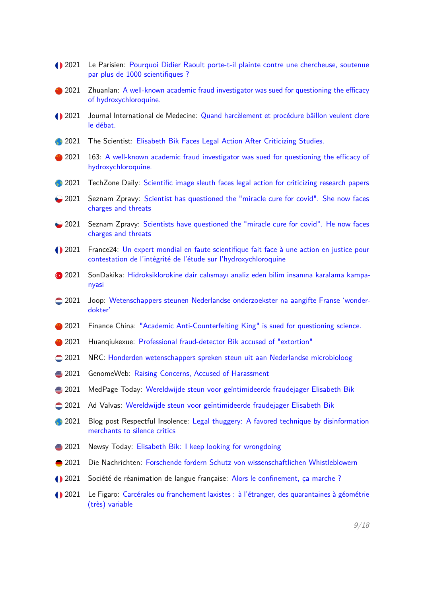| $\bigodot$ 2021 | Le Parisien: Pourquoi Didier Raoult porte-t-il plainte contre une chercheuse, soutenue<br>par plus de 1000 scientifiques ?                                  |
|-----------------|-------------------------------------------------------------------------------------------------------------------------------------------------------------|
| 2021            | Zhuanlan: A well-known academic fraud investigator was sued for questioning the efficacy<br>of hydroxychloroquine.                                          |
| $\bigodot$ 2021 | Journal International de Medecine: Quand harcèlement et procédure bâillon veulent clore<br>le débat.                                                        |
| 2021            | The Scientist: Elisabeth Bik Faces Legal Action After Criticizing Studies.                                                                                  |
| 2021            | 163: A well-known academic fraud investigator was sued for questioning the efficacy of<br>hydroxychloroquine.                                               |
| 2021            | TechZone Daily: Scientific image sleuth faces legal action for criticizing research papers                                                                  |
| $\bullet$ 2021  | Seznam Zpravy: Scientist has questioned the "miracle cure for covid". She now faces<br>charges and threats                                                  |
| $\bullet$ 2021  | Seznam Zpravy: Scientists have questioned the "miracle cure for covid". He now faces<br>charges and threats                                                 |
| <b>1</b> 2021   | France24: Un expert mondial en faute scientifique fait face à une action en justice pour<br>contestation de l'intégrité de l'étude sur l'hydroxychloroquine |
| $\bullet$ 2021  | SonDakika: Hidroksiklorokine dair calısmayı analiz eden bilim insanına karalama kampa-<br>nyasi                                                             |
| $\bigcirc$ 2021 | Joop: Wetenschappers steunen Nederlandse onderzoekster na aangifte Franse 'wonder-<br>dokter'                                                               |
| 2021            | Finance China: "Academic Anti-Counterfeiting King" is sued for questioning science.                                                                         |
| 2021            | Huanqiukexue: Professional fraud-detector Bik accused of "extortion"                                                                                        |
| $\bigcirc$ 2021 | NRC: Honderden wetenschappers spreken steun uit aan Nederlandse microbioloog                                                                                |
| ● 2021          | GenomeWeb: Raising Concerns, Accused of Harassment                                                                                                          |
| ● 2021          | MedPage Today: Wereldwijde steun voor geïntimideerde fraudejager Elisabeth Bik                                                                              |
| $\bigcirc$ 2021 | Ad Valvas: Wereldwijde steun voor geïntimideerde fraudejager Elisabeth Bik                                                                                  |
| 2021            | Blog post Respectful Insolence: Legal thuggery: A favored technique by disinformation<br>merchants to silence critics                                       |
| ● 2021          | Newsy Today: Elisabeth Bik: I keep looking for wrongdoing                                                                                                   |
| 2021            | Die Nachrichten: Forschende fordern Schutz von wissenschaftlichen Whistleblowern                                                                            |
| $\bigcirc$ 2021 | Société de réanimation de langue française: Alors le confinement, ça marche ?                                                                               |
| 1 2021          | Le Figaro: Carcérales ou franchement laxistes : à l'étranger, des quarantaines à géométrie<br>(très) variable                                               |
|                 |                                                                                                                                                             |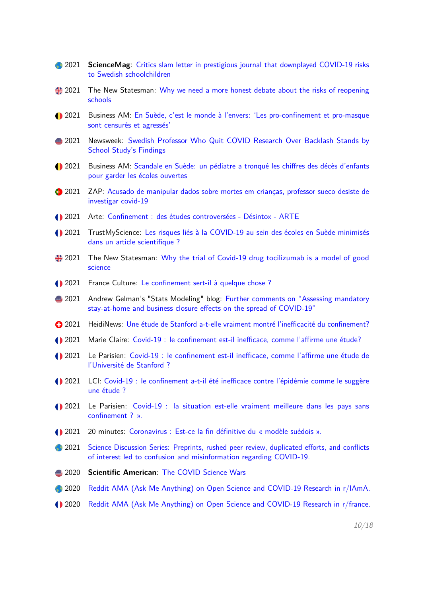- **2021 ScienceMag**: [Critics slam letter in prestigious journal that downplayed COVID-19 risks](https://www.sciencemag.org/news/2021/03/critics-slam-letter-prestigious-journal-downplayed-covid-19-risks-swedish) [to Swedish schoolchildren](https://www.sciencemag.org/news/2021/03/critics-slam-letter-prestigious-journal-downplayed-covid-19-risks-swedish)
- 2021 The New Statesman: [Why we need a more honest debate about the risks of reopening](https://www.newstatesman.com/science-tech/coronavirus/2021/03/why-we-need-more-honest-debate-about-risks-reopening-schools) [schools](https://www.newstatesman.com/science-tech/coronavirus/2021/03/why-we-need-more-honest-debate-about-risks-reopening-schools)
- 2021 Business AM: [En Suède, c'est le monde à l'envers: 'Les pro-confinement et pro-masque](https://fr.businessam.be/en-suede-cest-le-monde-a-lenvers-les-pro-confinement-et-pro-masque-sont-censures-et-agresses/) [sont censurés et agressés'](https://fr.businessam.be/en-suede-cest-le-monde-a-lenvers-les-pro-confinement-et-pro-masque-sont-censures-et-agresses/)
- 2021 Newsweek: [Swedish Professor Who Quit COVID Research Over Backlash Stands by](https://www.newsweek.com/swedish-professor-who-quit-covid-research-over-backlash-stands-school-studys-findings-1573452) [School Study's Findings](https://www.newsweek.com/swedish-professor-who-quit-covid-research-over-backlash-stands-school-studys-findings-1573452)
- 2021 Business AM: [Scandale en Suède: un pédiatre a tronqué les chiffres des décès d'enfants](https://fr.businessam.be/scandale-en-suede-un-pediatre-a-volontairement-minimise-les-deces-denfants-pour-laisser-les-ecoles-ouvertes/) [pour garder les écoles ouvertes](https://fr.businessam.be/scandale-en-suede-un-pediatre-a-volontairement-minimise-les-deces-denfants-pour-laisser-les-ecoles-ouvertes/)
- <sup>3</sup> 2021 ZAP: [Acusado de manipular dados sobre mortes em crianças, professor sueco desiste de](https://zap.aeiou.pt/acusado-manipular-dados-investigador-sueco-desiste-investigar-covid-19-385423) [investigar covid-19](https://zap.aeiou.pt/acusado-manipular-dados-investigador-sueco-desiste-investigar-covid-19-385423)
- 2021 Arte: [Confinement : des études controversées Désintox ARTE](https://www.youtube.com/watch?v=xJA_ALQt9yg)
- 2021 TrustMyScience: [Les risques liés à la COVID-19 au sein des écoles en Suède minimisés](https://trustmyscience.com/les-risques-lies-a-la-covid-19-au-sein-des-ecoles-en-suede-minimises-dans-un-article-scientifique/?fbclid=IwAR3PjlRpmeN3zKuptPeYusyN9oio9QKNO6oXaU48Cq_r7V9IYBdZAOYDvfU) [dans un article scientifique ?](https://trustmyscience.com/les-risques-lies-a-la-covid-19-au-sein-des-ecoles-en-suede-minimises-dans-un-article-scientifique/?fbclid=IwAR3PjlRpmeN3zKuptPeYusyN9oio9QKNO6oXaU48Cq_r7V9IYBdZAOYDvfU)
- 2021 The New Statesman: [Why the trial of Covid-19 drug tocilizumab is a model of good](https://www.newstatesman.com/science-tech/coronavirus/2021/02/why-trial-covid-19-drug-tocilizumab-model-good-science) [science](https://www.newstatesman.com/science-tech/coronavirus/2021/02/why-trial-covid-19-drug-tocilizumab-model-good-science)
- 2021 France Culture: [Le confinement sert-il à quelque chose ?](https://www.franceculture.fr/emissions/les-idees-claires-le-podcast/le-confinement-sert-il-a-quelque-chose)
- **2021** Andrew Gelman's "Stats Modeling" blog: [Further comments on "Assessing mandatory](https://www.leparisien.fr/societe/covid-19-le-confinement-est-il-inefficace-comme-l-affirme-une-etude-de-l-universite-de-stanford-02-02-2021-8422724.php) [stay-at-home and business closure effects on the spread of COVID-19"](https://www.leparisien.fr/societe/covid-19-le-confinement-est-il-inefficace-comme-l-affirme-une-etude-de-l-universite-de-stanford-02-02-2021-8422724.php)
- 2021 HeidiNews: [Une étude de Stanford a-t-elle vraiment montré l'inefficacité du confinement?](https://www.heidi.news/sante/une-etude-de-stanford-a-t-elle-vraiment-montre-l-inefficacite-du-confinement)
- 2021 Marie Claire: [Covid-19 : le confinement est-il inefficace, comme l'affirme une étude?](https://www.marieclaire.fr/efficacite-confinement,1370063.asp)
- 2021 Le Parisien: [Covid-19 : le confinement est-il inefficace, comme l'affirme une étude de](https://www.leparisien.fr/societe/covid-19-le-confinement-est-il-inefficace-comme-l-affirme-une-etude-de-l-universite-de-stanford-02-02-2021-8422724.php) [l'Université de Stanford ?](https://www.leparisien.fr/societe/covid-19-le-confinement-est-il-inefficace-comme-l-affirme-une-etude-de-l-universite-de-stanford-02-02-2021-8422724.php)
- 2021 LCI: [Covid-19 : le confinement a-t-il été inefficace contre l'épidémie comme le suggère](https://www.lci.fr/sante/covid-19-le-confinement-a-t-il-ete-inefficace-contre-l-epidemie-comme-le-suggere-une-etude-stanford-2177254.html) [une étude ?](https://www.lci.fr/sante/covid-19-le-confinement-a-t-il-ete-inefficace-contre-l-epidemie-comme-le-suggere-une-etude-stanford-2177254.html)
- 2021 Le Parisien: [Covid-19 : la situation est-elle vraiment meilleure dans les pays sans](https://www.leparisien.fr/societe/covid-19-la-situation-est-elle-vraiment-meilleure-dans-les-pays-sans-confinement-25-01-2021-8421176.php) [confinement ? ».](https://www.leparisien.fr/societe/covid-19-la-situation-est-elle-vraiment-meilleure-dans-les-pays-sans-confinement-25-01-2021-8421176.php)
- 2021 20 minutes: [Coronavirus : Est-ce la fin définitive du « modèle suédois ».](https://www.20minutes.fr/monde/2948915-20210109-coronavirus-fin-definitif-modele-suedois)
- <sup>2</sup> 2021 [Science Discussion Series: Preprints, rushed peer review, duplicated efforts, and conflicts](https://www.reddit.com/r/science/comments/kvs8gh/science_discussion_series_preprints_rushed_peer/) [of interest led to confusion and misinformation regarding COVID-19.](https://www.reddit.com/r/science/comments/kvs8gh/science_discussion_series_preprints_rushed_peer/)
- 2020 **Scientific American**: [The COVID Science Wars](https://www.scientificamerican.com/article/the-covid-science-wars1/)
- 2020 [Reddit AMA \(Ask Me Anything\) on Open Science and COVID-19 Research in r/IAmA.](https://www.reddit.com/r/IAmA/comments/js7tz5/we_are_cl�mence_leyrat_corentin_segalas_julien/)
- 2020 [Reddit AMA \(Ask Me Anything\) on Open Science and COVID-19 Research in r/france.](https://www.reddit.com/r/france/comments/jok2ya/nous_sommes_cl�mence_corentin_julien_et_lonni_et/)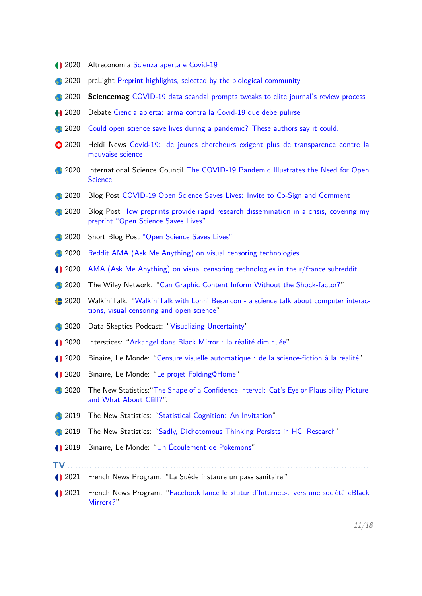- <sup>1</sup>2020 Altreconomia [Scienza aperta e Covid-19](https://altreconomia.it/open-science-covid-19-biorxiv/)
- **2020** preLight [Preprint highlights, selected by the biological community](https://prelights.biologists.com/highlights/open-science-saves-lives-lessons-from-the-covid-19-pandemic/)
- **2020 Sciencemag** [COVID-19 data scandal prompts tweaks to elite journal's review process](https://www.sciencemag.org/news/2020/09/covid-19-data-scandal-prompts-tweaks-elite-journal-s-review-process)
- 2020 Debate [Ciencia abierta: arma contra la Covid-19 que debe pulirse](https://www.debate.com.mx/salud/Ciencia-abierta-arma-contra-la-Covid-19-que-debe-pulirse-20201225-0025.html)
- <sup>2020</sup> [Could open science save lives during a pandemic? These authors say it could.](https://retractionwatch.com/2020/10/31/weekend-reads-a-peer-review-murder-mystery-for-halloween-learning-from-medbikini-inside-the-publishing-ring-that-linked-covid-19-and-5g/)
- 2020 Heidi News [Covid-19: de jeunes chercheurs exigent plus de transparence contre la](https://www.heidi.news/sante/covid-19-de-jeunes-chercheurs-exigent-plus-de-transparence-contre-la-mauvaise-science) [mauvaise science](https://www.heidi.news/sante/covid-19-de-jeunes-chercheurs-exigent-plus-de-transparence-contre-la-mauvaise-science)
- **2020** International Science Council [The COVID-19 Pandemic Illustrates the Need for Open](https://council.science/current/blog/open-science-covid/) **[Science](https://council.science/current/blog/open-science-covid/)**
- **2020** Blog Post [COVID-19 Open Science Saves Lives: Invite to Co-Sign and Comment](https://genr.eu/wp/covid-19-open-science-saves-lives-invite-to-co-sign-and-comment/)
- <sup>2020</sup> Blog Post [How preprints provide rapid research dissemination in a crisis, covering my](https://leedsunilibrary.wordpress.com/2020/08/21/how-preprints-provide-rapid-research-dissemination-in-a-crisis/) [preprint "Open Science Saves Lives"](https://leedsunilibrary.wordpress.com/2020/08/21/how-preprints-provide-rapid-research-dissemination-in-a-crisis/)
- <sup>2</sup> 2020 Short Blog Post ["Open Science Saves Lives"](https://library.isti.cnr.it/index.php/en/allcategories-en-gb/55-category-en-gb/latest-news/open-access-news-eng/1025-open-science-saves-lives-lessons-from-the-covid-19-pandemic)
- <sup>2</sup> 2020 [Reddit AMA \(Ask Me Anything\) on visual censoring technologies.](https://www.reddit.com/r/IAmA/comments/hszfne/i_am_lonni_besan�on_i_have_studied_automated/)
- 2020 [AMA \(Ask Me Anything\) on visual censoring technologies in the r/france subreddit.](https://www.reddit.com/r/france/comments/hecqp7/ama_avec_mes_coll�gues_jai_d�velopp�_une/)
- <sup>2</sup> 2020 The Wiley Network: ["Can Graphic Content Inform Without the Shock-factor?"](https://www.wiley.com/network/researchers/researcher-blogs/can-graphic-content-inform-without-the-shock-factor?HootPostID=02896c87-8aa1-4619-be4b-2fb68b4b2f54&Socialprofile=wileyinresearch&Socialnetwork=twitter)
- 2020 Walk'n'Talk: ["Walk'n'Talk with Lonni Besancon a science talk about computer interac](https://www.youtube.com/watch?v=CMESLntSPqc&feature=youtu.be)[tions, visual censoring and open science"](https://www.youtube.com/watch?v=CMESLntSPqc&feature=youtu.be)
- 2020 Data Skeptics Podcast: ["Visualizing Uncertainty"](https://open.spotify.com/episode/1Jx0bLLma5xm46wTdt5M0l?si=5LivnqxFQHyxs7f93vgGBw)
- 2020 Interstices: ["Arkangel dans Black Mirror : la réalité diminuée"](https://interstices.info/arkangel-dans-black-mirror-la-realite-diminuee/)
- 2020 Binaire, Le Monde: ["Censure visuelle automatique : de la science-fiction à la réalité"](https://www.lemonde.fr/blog/binaire/2020/04/14/le-divulgacheur-arkangel-de-black-mirror/)
- 2020 Binaire, Le Monde: ["Le projet Folding@Home"](https://www.lemonde.fr/blog/binaire/2020/04/30/le-projet-foldinghome/)
- <sup>2</sup> 2020 The New Statistics: ["The Shape of a Confidence Interval: Cat's Eye or Plausibility Picture,](https://thenewstatistics.com/itns/2020/03/18/the-shape-of-a-confidence-interval-cats-eye-or-plausibility-picture-and-what-about-cliff/) [and What About Cliff?"](https://thenewstatistics.com/itns/2020/03/18/the-shape-of-a-confidence-interval-cats-eye-or-plausibility-picture-and-what-about-cliff/).
- **2019** The New Statistics: ["Statistical Cognition: An Invitation"](https://thenewstatistics.com/itns/2019/02/19/statistical-cognition-an-invitation/)
- 2019 The New Statistics: ["Sadly, Dichotomous Thinking Persists in HCI Research"](https://thenewstatistics.com/itns/2019/01/14/sadly-dichotomous-thinking-persists-in-hci-research/)
- 2019 Binaire, Le Monde: ["Un Écoulement de Pokemons"](http://binaire.blog.lemonde.fr/2018/11/29/un-ecoulement-de-pokemons/)
- **TV**...........
- 2021 French News Program: "La Suède instaure un pass sanitaire."
- 2021 French News Program: ["Facebook lance le «futur d'Internet»: vers une société «Black](https://www.youtube.com/watch?v=k23LxLmvOtg) [Mirror»?"](https://www.youtube.com/watch?v=k23LxLmvOtg)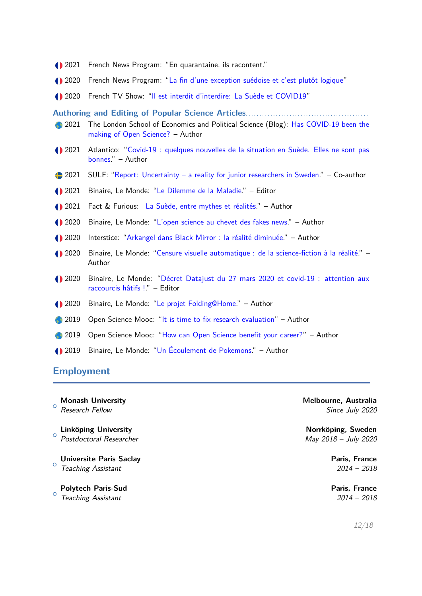- 2021 French News Program: "En quarantaine, ils racontent."
- 2020 French News Program: ["La fin d'une exception suédoise et c'est plutôt logique"](https://www.youtube.com/watch?v=AXa6Md_6y_4&feature=youtu.be)
- 2020 French TV Show: ["Il est interdit d'interdire: La Suède et COVID19"](https://www.youtube.com/watch?v=oHjRyGAOwCc&feature=emb_logo)

**Authoring and Editing of Popular Science Articles**. . . . . . . . . . . . . . . . . . . . . . . . . . . . . . . . . . . . . . . . . . . . .

- **2021** The London School of Economics and Political Science (Blog): [Has COVID-19 been the](https://blogs.lse.ac.uk/impactofsocialsciences/2021/10/29/has-covid-19-been-the-making-of-open-science/) [making of Open Science?](https://blogs.lse.ac.uk/impactofsocialsciences/2021/10/29/has-covid-19-been-the-making-of-open-science/) – Author
- 2021 Atlantico: ["Covid-19 : quelques nouvelles de la situation en Suède. Elles ne sont pas](https://atlantico.fr/article/decryptage/covid-19---quelques-nouvelles-de-la-situation-en-suede--elles-ne-sont-pas-bonnes-lonni-besancon) [bonnes.](https://atlantico.fr/article/decryptage/covid-19---quelques-nouvelles-de-la-situation-en-suede--elles-ne-sont-pas-bonnes-lonni-besancon)" – Author
- 2021 SULF: ["Report: Uncertainty a reality for junior researchers in Sweden.](https://sulf.se/en/nyhet-en/report-uncertainty-a-reality-for-junior-researchers-in-sweden/)" Co-author
- 2021 Binaire, Le Monde: ["Le Dilemme de la Maladie.](https://www.lemonde.fr/blog/binaire/2021/02/16/le-dilemne-de-la-maladie/)" Editor
- 2021 Fact & Furious: [La Suède, entre mythes et réalités.](https://www.instantcritique.fr/actualites/sante/la-suede-entre-mythes-et-realites)" Author
- 2020 Binaire, Le Monde: ["L'open science au chevet des fakes news.](https://www.lemonde.fr/blog/binaire/2020/09/08/openscience-au-chevet-des-fakes-news/)" Author
- 2020 Interstice: ["Arkangel dans Black Mirror : la réalité diminuée.](https://interstices.info/arkangel-dans-black-mirror-la-realite-diminuee/)" Author
- 2020 Binaire, Le Monde: ["Censure visuelle automatique : de la science-fiction à la réalité.](https://www.lemonde.fr/blog/binaire/2020/04/14/le-divulgacheur-arkangel-de-black-mirror/)" Author
- 2020 Binaire, Le Monde: ["Décret Datajust du 27 mars 2020 et covid-19 : attention aux](https://www.lemonde.fr/blog/binaire/2020/05/18/decret-datajust-du-27-mars-2020-et-covid-19-attention-aux-raccourcis-hatifs/) [raccourcis hâtifs !.](https://www.lemonde.fr/blog/binaire/2020/05/18/decret-datajust-du-27-mars-2020-et-covid-19-attention-aux-raccourcis-hatifs/)" – Editor
- 2020 Binaire, Le Monde: ["Le projet Folding@Home.](https://www.lemonde.fr/blog/binaire/2020/04/30/le-projet-foldinghome/)" Author
- **3** 2019 Open Science Mooc: ["It is time to fix research evaluation"](https://opensciencemooc.eu/evaluation/2019/10/15/solve-research-evaluation/) Author
- 2019 Open Science Mooc: ["How can Open Science benefit your career?"](https://opensciencemooc.eu/community/2019/10/07/open-science-benefits/) Author
- 2019 Binaire, Le Monde: ["Un Écoulement de Pokemons.](http://binaire.blog.lemonde.fr/2018/11/29/un-ecoulement-de-pokemons/)" Author

# **Employment**

 $\circ$ **Monash University Melbourne, Australia Linköping University Norrköping, Sweden**

 $\circ$ **Universite Paris Saclay Paris, France** Teaching Assistant 2014 – 2018

o Teaching Assistant 2014 – 2018 **Polytech Paris-Sud Paris, France**

Research Fellow Since July 2020

o<br>
Postdoctoral Researcher May 2018 – July 2020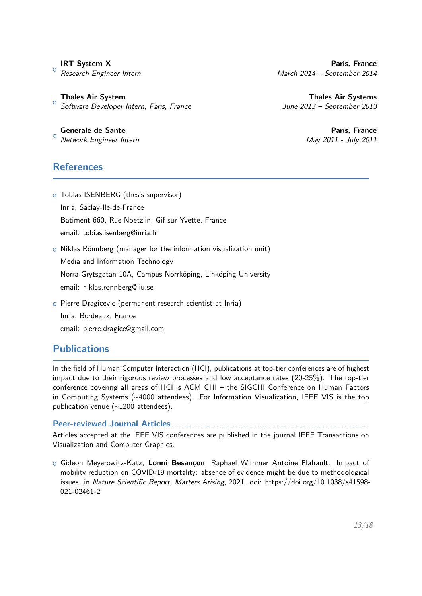$\circ$ 

 $\circ$ **Thales Air System Thales Air Systems** Software Developer Intern, Paris, France Mateur Martin and Sune 2013 – September 2013

 $\circ$ **Generale de Sante** Paris, France

**References**

o Tobias ISENBERG (thesis supervisor) Inria, Saclay-Ile-de-France Batiment 660, Rue Noetzlin, Gif-sur-Yvette, France email: tobias.isenberg@inria.fr

o Niklas Rönnberg (manager for the information visualization unit) Media and Information Technology Norra Grytsgatan 10A, Campus Norrköping, Linköping University email: niklas.ronnberg@liu.se

o Pierre Dragicevic (permanent research scientist at Inria) Inria, Bordeaux, France email: pierre.dragice@gmail.com

# **Publications**

In the field of Human Computer Interaction (HCI), publications at top-tier conferences are of highest impact due to their rigorous review processes and low acceptance rates (20-25%). The top-tier conference covering all areas of HCI is ACM CHI – the SIGCHI Conference on Human Factors in Computing Systems (~4000 attendees). For Information Visualization, IEEE VIS is the top publication venue  $(-1200$  attendees).

Peer-reviewed Journal Articles....

Articles accepted at the IEEE VIS conferences are published in the journal IEEE Transactions on Visualization and Computer Graphics.

<sup>+</sup> Gideon Meyerowitz-Katz, **Lonni Besançon**, Raphael Wimmer Antoine Flahault. Impact of mobility reduction on COVID-19 mortality: absence of evidence might be due to methodological issues. in Nature Scientific Report, Matters Arising, 2021. doi: https://doi.org/10.1038/s41598- 021-02461-2

**IRT System X** Paris, France Research Engineer Intern **March 2014** – September 2014

Network Engineer Intern May 2011 - July 2011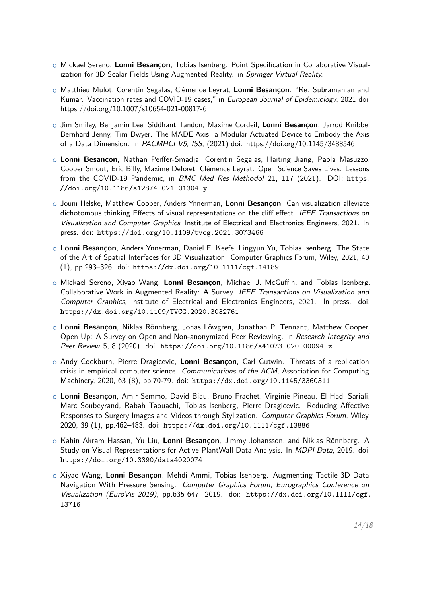- <sup>+</sup> Mickael Sereno, **Lonni Besançon**, Tobias Isenberg. Point Specification in Collaborative Visualization for 3D Scalar Fields Using Augmented Reality. in Springer Virtual Reality.
- <sup>+</sup> Matthieu Mulot, Corentin Segalas, Clémence Leyrat, **Lonni Besançon**. "Re: Subramanian and Kumar. Vaccination rates and COVID-19 cases," in European Journal of Epidemiology, 2021 doi: https://doi.org/10.1007/s10654-021-00817-6
- <sup>+</sup> Jim Smiley, Benjamin Lee, Siddhant Tandon, Maxime Cordeil, **Lonni Besançon**, Jarrod Knibbe, Bernhard Jenny, Tim Dwyer. The MADE-Axis: a Modular Actuated Device to Embody the Axis of a Data Dimension. in PACMHCI V5, ISS, (2021) doi: https://doi.org/10.1145/3488546
- <sup>+</sup> **Lonni Besançon**, Nathan Peiffer-Smadja, Corentin Segalas, Haiting Jiang, Paola Masuzzo, Cooper Smout, Eric Billy, Maxime Deforet, Clémence Leyrat. Open Science Saves Lives: Lessons from the COVID-19 Pandemic, in BMC Med Res Methodol 21, 117 (2021). DOI: [https:](https://doi.org/10.1186/s12874-021-01304-y) [//doi.org/10.1186/s12874-021-01304-y](https://doi.org/10.1186/s12874-021-01304-y)
- <sup>+</sup> Jouni Helske, Matthew Cooper, Anders Ynnerman, **Lonni Besançon**. Can visualization alleviate dichotomous thinking Effects of visual representations on the cliff effect. IEEE Transactions on Visualization and Computer Graphics, Institute of Electrical and Electronics Engineers, 2021. In press. doi: <https://doi.org/10.1109/tvcg.2021.3073466>
- <sup>+</sup> **Lonni Besançon**, Anders Ynnerman, Daniel F. Keefe, Lingyun Yu, Tobias Isenberg. The State of the Art of Spatial Interfaces for 3D Visualization. Computer Graphics Forum, Wiley, 2021, 40 (1), pp.293–326. doi: <https://dx.doi.org/10.1111/cgf.14189>
- <sup>+</sup> Mickael Sereno, Xiyao Wang, **Lonni Besançon**, Michael J. McGuffin, and Tobias Isenberg. Collaborative Work in Augmented Reality: A Survey. IEEE Transactions on Visualization and Computer Graphics, Institute of Electrical and Electronics Engineers, 2021. In press. doi: <https://dx.doi.org/10.1109/TVCG.2020.3032761>
- <sup>+</sup> **Lonni Besançon**, Niklas Rönnberg, Jonas Löwgren, Jonathan P. Tennant, Matthew Cooper. Open Up: A Survey on Open and Non-anonymized Peer Reviewing. in Research Integrity and Peer Review 5, 8 (2020). doi: <https://doi.org/10.1186/s41073-020-00094-z>
- <sup>+</sup> Andy Cockburn, Pierre Dragicevic, **Lonni Besançon**, Carl Gutwin. Threats of a replication crisis in empirical computer science. Communications of the ACM, Association for Computing Machinery, 2020, 63 (8), pp.70-79. doi: <https://dx.doi.org/10.1145/3360311>
- <sup>+</sup> **Lonni Besançon**, Amir Semmo, David Biau, Bruno Frachet, Virginie Pineau, El Hadi Sariali, Marc Soubeyrand, Rabah Taouachi, Tobias Isenberg, Pierre Dragicevic. Reducing Affective Responses to Surgery Images and Videos through Stylization. Computer Graphics Forum, Wiley, 2020, 39 (1), pp.462–483. doi: <https://dx.doi.org/10.1111/cgf.13886>
- <sup>+</sup> Kahin Akram Hassan, Yu Liu, **Lonni Besançon**, Jimmy Johansson, and Niklas Rönnberg. A Study on Visual Representations for Active PlantWall Data Analysis. In MDPI Data, 2019. doi: <https://doi.org/10.3390/data4020074>
- <sup>+</sup> Xiyao Wang, **Lonni Besançon**, Mehdi Ammi, Tobias Isenberg. Augmenting Tactile 3D Data Navigation With Pressure Sensing. Computer Graphics Forum, Eurographics Conference on Visualization (EuroVis 2019), pp.635-647, 2019. doi: [https://dx.doi.org/10.1111/cgf.](https://dx.doi.org/10.1111/cgf.13716) [13716](https://dx.doi.org/10.1111/cgf.13716)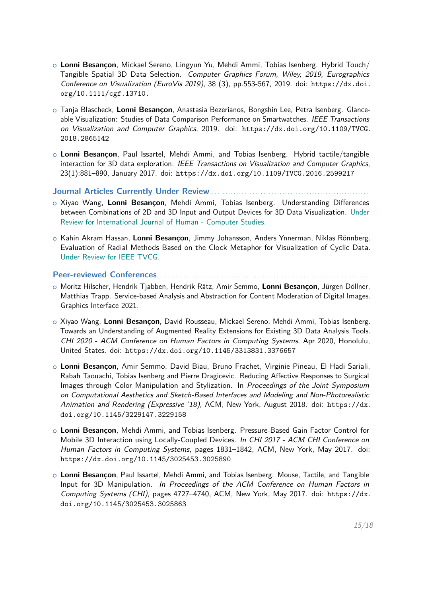- <sup>+</sup> **Lonni Besançon**, Mickael Sereno, Lingyun Yu, Mehdi Ammi, Tobias Isenberg. Hybrid Touch/ Tangible Spatial 3D Data Selection. Computer Graphics Forum, Wiley, 2019, Eurographics Conference on Visualization (EuroVis 2019), 38 (3), pp.553-567, 2019. doi: [https://dx.doi.](https://dx.doi.org/10.1111/cgf.13710.) [org/10.1111/cgf.13710.](https://dx.doi.org/10.1111/cgf.13710.)
- <sup>+</sup> Tanja Blascheck, **Lonni Besançon**, Anastasia Bezerianos, Bongshin Lee, Petra Isenberg. Glanceable Visualization: Studies of Data Comparison Performance on Smartwatches. IEEE Transactions on Visualization and Computer Graphics, 2019. doi: [https://dx.doi.org/10.1109/TVCG.](https://dx.doi.org/10.1109/TVCG.2018.2865142) [2018.2865142](https://dx.doi.org/10.1109/TVCG.2018.2865142)
- <sup>+</sup> **Lonni Besançon**, Paul Issartel, Mehdi Ammi, and Tobias Isenberg. Hybrid tactile/tangible interaction for 3D data exploration. IEEE Transactions on Visualization and Computer Graphics, 23(1):881–890, January 2017. doi: <https://dx.doi.org/10.1109/TVCG.2016.2599217>

### **Journal Articles Currently Under Review**. . . . . . . . . . . . . . . . . . . . . . . . . . . . . . . . . . . . . . . . . . . . . . . . . . . . . . . . . . .

- <sup>+</sup> Xiyao Wang, **Lonni Besançon**, Mehdi Ammi, Tobias Isenberg. Understanding Differences between Combinations of 2D and 3D Input and Output Devices for 3D Data Visualization. Under Review for International Journal of Human - Computer Studies.
- <sup>+</sup> Kahin Akram Hassan, **Lonni Besançon**, Jimmy Johansson, Anders Ynnerman, Niklas Rönnberg. Evaluation of Radial Methods Based on the Clock Metaphor for Visualization of Cyclic Data. Under Review for IEEE TVCG.

## **Peer-reviewed Conferences**. . . . . . . . . . . . . . . . . . . . . . . . . . . . . . . . . . . . . . . . . . . . . . . . . . . . . . . . . . . . . . . . . . . . . . . . . . . . . .

- <sup>+</sup> Moritz Hilscher, Hendrik Tjabben, Hendrik Rätz, Amir Semmo, **Lonni Besançon**, Jürgen Döllner, Matthias Trapp. Service-based Analysis and Abstraction for Content Moderation of Digital Images. Graphics Interface 2021.
- <sup>+</sup> Xiyao Wang, **Lonni Besançon**, David Rousseau, Mickael Sereno, Mehdi Ammi, Tobias Isenberg. Towards an Understanding of Augmented Reality Extensions for Existing 3D Data Analysis Tools. CHI 2020 - ACM Conference on Human Factors in Computing Systems, Apr 2020, Honolulu, United States. doi: <https://dx.doi.org/10.1145/3313831.3376657>
- <sup>+</sup> **Lonni Besançon**, Amir Semmo, David Biau, Bruno Frachet, Virginie Pineau, El Hadi Sariali, Rabah Taouachi, Tobias Isenberg and Pierre Dragicevic. Reducing Affective Responses to Surgical Images through Color Manipulation and Stylization. In Proceedings of the Joint Symposium on Computational Aesthetics and Sketch-Based Interfaces and Modeling and Non-Photorealistic Animation and Rendering (Expressive '18), ACM, New York, August 2018. doi: [https://dx.](https://dx.doi.org/10.1145/3229147.3229158) [doi.org/10.1145/3229147.3229158](https://dx.doi.org/10.1145/3229147.3229158)
- <sup>+</sup> **Lonni Besançon**, Mehdi Ammi, and Tobias Isenberg. Pressure-Based Gain Factor Control for Mobile 3D Interaction using Locally-Coupled Devices. In CHI 2017 - ACM CHI Conference on Human Factors in Computing Systems, pages 1831–1842, ACM, New York, May 2017. doi: <https://dx.doi.org/10.1145/3025453.3025890>
- <sup>+</sup> **Lonni Besançon**, Paul Issartel, Mehdi Ammi, and Tobias Isenberg. Mouse, Tactile, and Tangible Input for 3D Manipulation. In Proceedings of the ACM Conference on Human Factors in Computing Systems (CHI), pages 4727–4740, ACM, New York, May 2017. doi: [https://dx.](https://dx.doi.org/10.1145/3025453.3025863) [doi.org/10.1145/3025453.3025863](https://dx.doi.org/10.1145/3025453.3025863)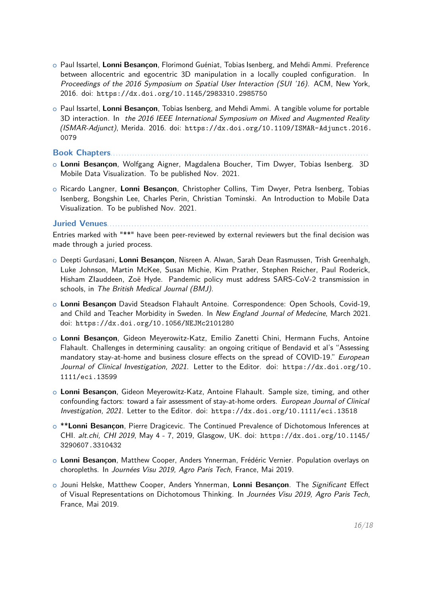- <sup>+</sup> Paul Issartel, **Lonni Besançon**, Florimond Guéniat, Tobias Isenberg, and Mehdi Ammi. Preference between allocentric and egocentric 3D manipulation in a locally coupled configuration. In Proceedings of the 2016 Symposium on Spatial User Interaction (SUI '16). ACM, New York, 2016. doi: <https://dx.doi.org/10.1145/2983310.2985750>
- <sup>+</sup> Paul Issartel, **Lonni Besançon**, Tobias Isenberg, and Mehdi Ammi. A tangible volume for portable 3D interaction. In the 2016 IEEE International Symposium on Mixed and Augmented Reality (ISMAR-Adjunct), Merida. 2016. doi: [https://dx.doi.org/10.1109/ISMAR-Adjunct.2016.](https://dx.doi.org/10.1109/ISMAR-Adjunct.2016.0079) [0079](https://dx.doi.org/10.1109/ISMAR-Adjunct.2016.0079)

**Book Chapters**. . . . . . . . . . . . . . . . . . . . . . . . . . . . . . . . . . . . . . . . . . . . . . . . . . . . . . . . . . . . . . . . . . . . . . . . . . . . . . . . . . . . . . . . . . . . . . .

- <sup>+</sup> **Lonni Besançon**, Wolfgang Aigner, Magdalena Boucher, Tim Dwyer, Tobias Isenberg. 3D Mobile Data Visualization. To be published Nov. 2021.
- <sup>+</sup> Ricardo Langner, **Lonni Besançon**, Christopher Collins, Tim Dwyer, Petra Isenberg, Tobias Isenberg, Bongshin Lee, Charles Perin, Christian Tominski. An Introduction to Mobile Data Visualization. To be published Nov. 2021.

**Juried Venues. . . . . . . .** 

Entries marked with "\*\*" have been peer-reviewed by external reviewers but the final decision was made through a juried process.

- <sup>+</sup> Deepti Gurdasani, **Lonni Besançon**, Nisreen A. Alwan, Sarah Dean Rasmussen, Trish Greenhalgh, Luke Johnson, Martin McKee, Susan Michie, Kim Prather, Stephen Reicher, Paul Roderick, Hisham ZIauddeen, Zoë Hyde. Pandemic policy must address SARS-CoV-2 transmission in schools, in The British Medical Journal (BMJ).
- <sup>+</sup> **Lonni Besançon** David Steadson Flahault Antoine. Correspondence: Open Schools, Covid-19, and Child and Teacher Morbidity in Sweden. In New England Journal of Medecine, March 2021. doi: <https://dx.doi.org/10.1056/NEJMc2101280>
- <sup>+</sup> **Lonni Besançon**, Gideon Meyerowitz-Katz, Emilio Zanetti Chini, Hermann Fuchs, Antoine Flahault. Challenges in determining causality: an ongoing critique of Bendavid et al's "Assessing mandatory stay-at-home and business closure effects on the spread of COVID-19." *European* Journal of Clinical Investigation, 2021. Letter to the Editor. doi: [https://dx.doi.org/10.](https://dx.doi.org/10.1111/eci.13599) [1111/eci.13599](https://dx.doi.org/10.1111/eci.13599)
- <sup>+</sup> **Lonni Besançon**, Gideon Meyerowitz-Katz, Antoine Flahault. Sample size, timing, and other confounding factors: toward a fair assessment of stay-at-home orders. European Journal of Clinical Investigation, 2021. Letter to the Editor. doi: <https://dx.doi.org/10.1111/eci.13518>
- o \*\*Lonni Besançon, Pierre Dragicevic. The Continued Prevalence of Dichotomous Inferences at CHI. alt.chi, CHI 2019, May 4 - 7, 2019, Glasgow, UK. doi: [https://dx.doi.org/10.1145/](https://dx.doi.org/10.1145/3290607.3310432) [3290607.3310432](https://dx.doi.org/10.1145/3290607.3310432)
- <sup>+</sup> **Lonni Besançon**, Matthew Cooper, Anders Ynnerman, Frédéric Vernier. Population overlays on choropleths. In Journées Visu 2019, Agro Paris Tech, France, Mai 2019.
- <sup>+</sup> Jouni Helske, Matthew Cooper, Anders Ynnerman, **Lonni Besançon**. The Significant Effect of Visual Representations on Dichotomous Thinking. In Journées Visu 2019, Agro Paris Tech, France, Mai 2019.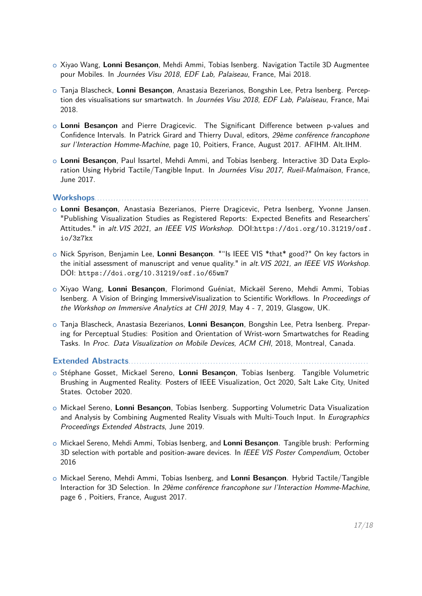- <sup>+</sup> Xiyao Wang, **Lonni Besançon**, Mehdi Ammi, Tobias Isenberg. Navigation Tactile 3D Augmentee pour Mobiles. In Journées Visu 2018, EDF Lab, Palaiseau, France, Mai 2018.
- <sup>+</sup> Tanja Blascheck, **Lonni Besançon**, Anastasia Bezerianos, Bongshin Lee, Petra Isenberg. Perception des visualisations sur smartwatch. In Journées Visu 2018, EDF Lab, Palaiseau, France, Mai 2018.
- o Lonni Besançon and Pierre Dragicevic. The Significant Difference between p-values and Confidence Intervals. In Patrick Girard and Thierry Duval, editors, 29ème conférence francophone sur l'Interaction Homme-Machine, page 10, Poitiers, France, August 2017. AFIHM. Alt.IHM.
- <sup>+</sup> **Lonni Besançon**, Paul Issartel, Mehdi Ammi, and Tobias Isenberg. Interactive 3D Data Exploration Using Hybrid Tactile/Tangible Input. In Journées Visu 2017, Rueil-Malmaison, France, June 2017.

#### **Workshops**. . . . . . . . . . . . . . . . . . . . . . . . . . . . . . . . . . . . . . . . . . . . . . . . . . . . . . . . . . . . . . . . . . . . . . . . . . . . . . . . . . . . . . . . . . . . . . . . . . . . .

- <sup>+</sup> **Lonni Besançon**, Anastasia Bezerianos, Pierre Dragicevic, Petra Isenberg, Yvonne Jansen. "Publishing Visualization Studies as Registered Reports: Expected Benefits and Researchers' Attitudes." in alt.VIS 2021, an IEEE VIS Workshop. DOI:[https://doi.org/10.31219/osf.](https://doi.org/10.31219/osf.io/3z7kx) [io/3z7kx](https://doi.org/10.31219/osf.io/3z7kx)
- <sup>+</sup> Nick Spyrison, Benjamin Lee, **Lonni Besançon**. ""Is IEEE VIS \*that\* good?" On key factors in the initial assessment of manuscript and venue quality." in alt. VIS 2021, an IEEE VIS Workshop. DOI: <https://doi.org/10.31219/osf.io/65wm7>
- <sup>+</sup> Xiyao Wang, **Lonni Besançon**, Florimond Guéniat, Mickaël Sereno, Mehdi Ammi, Tobias Isenberg. A Vision of Bringing ImmersiveVisualization to Scientific Workflows. In Proceedings of the Workshop on Immersive Analytics at CHI 2019, May 4 - 7, 2019, Glasgow, UK.
- <sup>+</sup> Tanja Blascheck, Anastasia Bezerianos, **Lonni Besançon**, Bongshin Lee, Petra Isenberg. Preparing for Perceptual Studies: Position and Orientation of Wrist-worn Smartwatches for Reading Tasks. In Proc. Data Visualization on Mobile Devices, ACM CHI, 2018, Montreal, Canada.

Extended Abstracts........

- <sup>+</sup> Stéphane Gosset, Mickael Sereno, **Lonni Besançon**, Tobias Isenberg. Tangible Volumetric Brushing in Augmented Reality. Posters of IEEE Visualization, Oct 2020, Salt Lake City, United States. October 2020.
- <sup>+</sup> Mickael Sereno, **Lonni Besançon**, Tobias Isenberg. Supporting Volumetric Data Visualization and Analysis by Combining Augmented Reality Visuals with Multi-Touch Input. In Eurographics Proceedings Extended Abstracts, June 2019.
- <sup>+</sup> Mickael Sereno, Mehdi Ammi, Tobias Isenberg, and **Lonni Besançon**. Tangible brush: Performing 3D selection with portable and position-aware devices. In IEEE VIS Poster Compendium, October 2016
- <sup>+</sup> Mickael Sereno, Mehdi Ammi, Tobias Isenberg, and **Lonni Besançon**. Hybrid Tactile/Tangible Interaction for 3D Selection. In 29ème conférence francophone sur l'Interaction Homme-Machine, page 6 , Poitiers, France, August 2017.